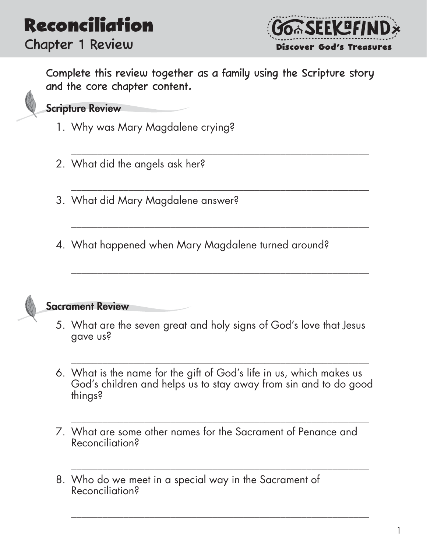### **Reconciliation** Chapter 1 Review



Complete this review together as a family using the Scripture story and the core chapter content.

\_\_\_\_\_\_\_\_\_\_\_\_\_\_\_\_\_\_\_\_\_\_\_\_\_\_\_\_\_\_\_\_\_\_\_\_\_\_\_\_\_\_\_\_\_\_\_\_\_\_\_\_\_\_\_\_\_

\_\_\_\_\_\_\_\_\_\_\_\_\_\_\_\_\_\_\_\_\_\_\_\_\_\_\_\_\_\_\_\_\_\_\_\_\_\_\_\_\_\_\_\_\_\_\_\_\_\_\_\_\_\_\_\_\_

\_\_\_\_\_\_\_\_\_\_\_\_\_\_\_\_\_\_\_\_\_\_\_\_\_\_\_\_\_\_\_\_\_\_\_\_\_\_\_\_\_\_\_\_\_\_\_\_\_\_\_\_\_\_\_\_\_

\_\_\_\_\_\_\_\_\_\_\_\_\_\_\_\_\_\_\_\_\_\_\_\_\_\_\_\_\_\_\_\_\_\_\_\_\_\_\_\_\_\_\_\_\_\_\_\_\_\_\_\_\_\_\_\_\_

Scripture Review

- 1. Why was Mary Magdalene crying?
- 2. What did the angels ask her?
- 3. What did Mary Magdalene answer?
- 4. What happened when Mary Magdalene turned around?



#### Sacrament Review

- 5. What are the seven great and holy signs of God's love that Jesus gave us?
- 6. What is the name for the gift of God's life in us, which makes us God's children and helps us to stay away from sin and to do good things?

\_\_\_\_\_\_\_\_\_\_\_\_\_\_\_\_\_\_\_\_\_\_\_\_\_\_\_\_\_\_\_\_\_\_\_\_\_\_\_\_\_\_\_\_\_\_\_\_\_\_\_\_\_\_\_\_\_

\_\_\_\_\_\_\_\_\_\_\_\_\_\_\_\_\_\_\_\_\_\_\_\_\_\_\_\_\_\_\_\_\_\_\_\_\_\_\_\_\_\_\_\_\_\_\_\_\_\_\_\_\_\_\_\_\_

\_\_\_\_\_\_\_\_\_\_\_\_\_\_\_\_\_\_\_\_\_\_\_\_\_\_\_\_\_\_\_\_\_\_\_\_\_\_\_\_\_\_\_\_\_\_\_\_\_\_\_\_\_\_\_\_\_

- 7. What are some other names for the Sacrament of Penance and Reconciliation?
- 8. Who do we meet in a special way in the Sacrament of Reconciliation?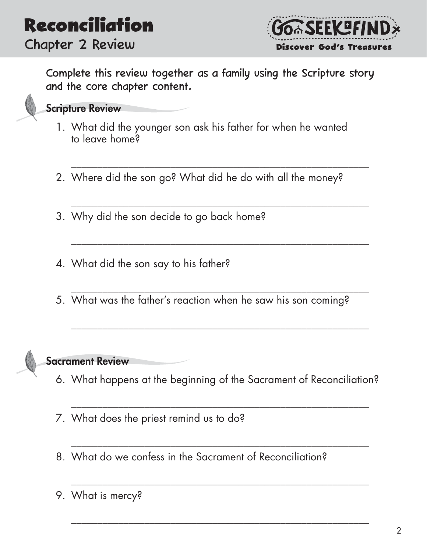

Complete this review together as a family using the Scripture story and the core chapter content.



#### Scripture Review

- 1. What did the younger son ask his father for when he wanted to leave home?
- 2. Where did the son go? What did he do with all the money?

\_\_\_\_\_\_\_\_\_\_\_\_\_\_\_\_\_\_\_\_\_\_\_\_\_\_\_\_\_\_\_\_\_\_\_\_\_\_\_\_\_\_\_\_\_\_\_\_\_\_\_\_\_\_\_\_\_

\_\_\_\_\_\_\_\_\_\_\_\_\_\_\_\_\_\_\_\_\_\_\_\_\_\_\_\_\_\_\_\_\_\_\_\_\_\_\_\_\_\_\_\_\_\_\_\_\_\_\_\_\_\_\_\_\_

\_\_\_\_\_\_\_\_\_\_\_\_\_\_\_\_\_\_\_\_\_\_\_\_\_\_\_\_\_\_\_\_\_\_\_\_\_\_\_\_\_\_\_\_\_\_\_\_\_\_\_\_\_\_\_\_\_

- 3. Why did the son decide to go back home?
- 4. What did the son say to his father?
- \_\_\_\_\_\_\_\_\_\_\_\_\_\_\_\_\_\_\_\_\_\_\_\_\_\_\_\_\_\_\_\_\_\_\_\_\_\_\_\_\_\_\_\_\_\_\_\_\_\_\_\_\_\_\_\_\_ 5. What was the father's reaction when he saw his son coming?



#### Sacrament Review

6. What happens at the beginning of the Sacrament of Reconciliation?

\_\_\_\_\_\_\_\_\_\_\_\_\_\_\_\_\_\_\_\_\_\_\_\_\_\_\_\_\_\_\_\_\_\_\_\_\_\_\_\_\_\_\_\_\_\_\_\_\_\_\_\_\_\_\_\_\_

\_\_\_\_\_\_\_\_\_\_\_\_\_\_\_\_\_\_\_\_\_\_\_\_\_\_\_\_\_\_\_\_\_\_\_\_\_\_\_\_\_\_\_\_\_\_\_\_\_\_\_\_\_\_\_\_\_

\_\_\_\_\_\_\_\_\_\_\_\_\_\_\_\_\_\_\_\_\_\_\_\_\_\_\_\_\_\_\_\_\_\_\_\_\_\_\_\_\_\_\_\_\_\_\_\_\_\_\_\_\_\_\_\_\_

\_\_\_\_\_\_\_\_\_\_\_\_\_\_\_\_\_\_\_\_\_\_\_\_\_\_\_\_\_\_\_\_\_\_\_\_\_\_\_\_\_\_\_\_\_\_\_\_\_\_\_\_\_\_\_\_\_

- 7. What does the priest remind us to do?
- 8. What do we confess in the Sacrament of Reconciliation?
- 9. What is mercy?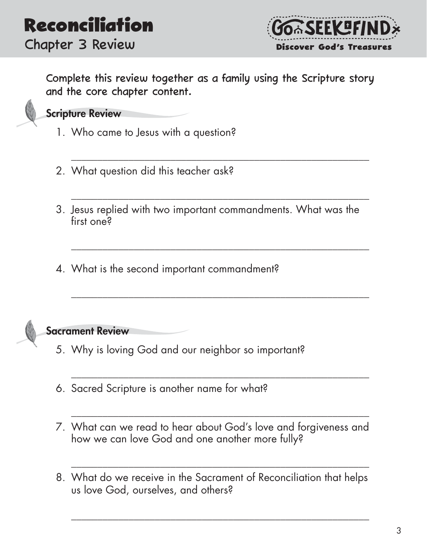

Complete this review together as a family using the Scripture story and the core chapter content.

\_\_\_\_\_\_\_\_\_\_\_\_\_\_\_\_\_\_\_\_\_\_\_\_\_\_\_\_\_\_\_\_\_\_\_\_\_\_\_\_\_\_\_\_\_\_\_\_\_\_\_\_\_\_\_\_\_

\_\_\_\_\_\_\_\_\_\_\_\_\_\_\_\_\_\_\_\_\_\_\_\_\_\_\_\_\_\_\_\_\_\_\_\_\_\_\_\_\_\_\_\_\_\_\_\_\_\_\_\_\_\_\_\_\_

\_\_\_\_\_\_\_\_\_\_\_\_\_\_\_\_\_\_\_\_\_\_\_\_\_\_\_\_\_\_\_\_\_\_\_\_\_\_\_\_\_\_\_\_\_\_\_\_\_\_\_\_\_\_\_\_\_

\_\_\_\_\_\_\_\_\_\_\_\_\_\_\_\_\_\_\_\_\_\_\_\_\_\_\_\_\_\_\_\_\_\_\_\_\_\_\_\_\_\_\_\_\_\_\_\_\_\_\_\_\_\_\_\_\_

\_\_\_\_\_\_\_\_\_\_\_\_\_\_\_\_\_\_\_\_\_\_\_\_\_\_\_\_\_\_\_\_\_\_\_\_\_\_\_\_\_\_\_\_\_\_\_\_\_\_\_\_\_\_\_\_\_

\_\_\_\_\_\_\_\_\_\_\_\_\_\_\_\_\_\_\_\_\_\_\_\_\_\_\_\_\_\_\_\_\_\_\_\_\_\_\_\_\_\_\_\_\_\_\_\_\_\_\_\_\_\_\_\_\_

\_\_\_\_\_\_\_\_\_\_\_\_\_\_\_\_\_\_\_\_\_\_\_\_\_\_\_\_\_\_\_\_\_\_\_\_\_\_\_\_\_\_\_\_\_\_\_\_\_\_\_\_\_\_\_\_\_

\_\_\_\_\_\_\_\_\_\_\_\_\_\_\_\_\_\_\_\_\_\_\_\_\_\_\_\_\_\_\_\_\_\_\_\_\_\_\_\_\_\_\_\_\_\_\_\_\_\_\_\_\_\_\_\_\_



#### Scripture Review

- 1. Who came to Jesus with a question?
- 2. What question did this teacher ask?
- 3. Jesus replied with two important commandments. What was the first one?
- 4. What is the second important commandment?



- 5. Why is loving God and our neighbor so important?
- 6. Sacred Scripture is another name for what?
- 7. What can we read to hear about God's love and forgiveness and how we can love God and one another more fully?
- 8. What do we receive in the Sacrament of Reconciliation that helps us love God, ourselves, and others?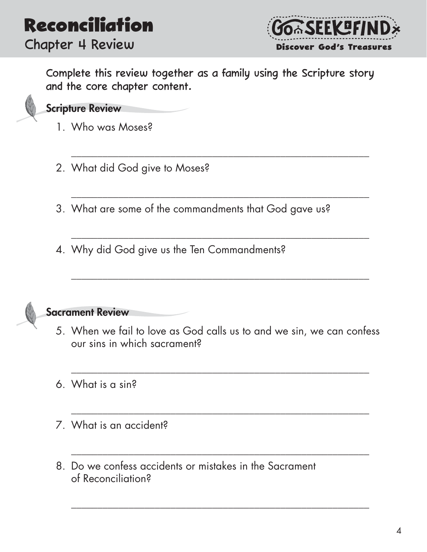

Complete this review together as a family using the Scripture story and the core chapter content.

\_\_\_\_\_\_\_\_\_\_\_\_\_\_\_\_\_\_\_\_\_\_\_\_\_\_\_\_\_\_\_\_\_\_\_\_\_\_\_\_\_\_\_\_\_\_\_\_\_\_\_\_\_\_\_\_\_

\_\_\_\_\_\_\_\_\_\_\_\_\_\_\_\_\_\_\_\_\_\_\_\_\_\_\_\_\_\_\_\_\_\_\_\_\_\_\_\_\_\_\_\_\_\_\_\_\_\_\_\_\_\_\_\_\_

\_\_\_\_\_\_\_\_\_\_\_\_\_\_\_\_\_\_\_\_\_\_\_\_\_\_\_\_\_\_\_\_\_\_\_\_\_\_\_\_\_\_\_\_\_\_\_\_\_\_\_\_\_\_\_\_\_

\_\_\_\_\_\_\_\_\_\_\_\_\_\_\_\_\_\_\_\_\_\_\_\_\_\_\_\_\_\_\_\_\_\_\_\_\_\_\_\_\_\_\_\_\_\_\_\_\_\_\_\_\_\_\_\_\_

#### Scripture Review

- 1. Who was Moses?
- 2. What did God give to Moses?
- 3. What are some of the commandments that God gave us?
- 4. Why did God give us the Ten Commandments?



#### Sacrament Review

5. When we fail to love as God calls us to and we sin, we can confess our sins in which sacrament?

\_\_\_\_\_\_\_\_\_\_\_\_\_\_\_\_\_\_\_\_\_\_\_\_\_\_\_\_\_\_\_\_\_\_\_\_\_\_\_\_\_\_\_\_\_\_\_\_\_\_\_\_\_\_\_\_\_

\_\_\_\_\_\_\_\_\_\_\_\_\_\_\_\_\_\_\_\_\_\_\_\_\_\_\_\_\_\_\_\_\_\_\_\_\_\_\_\_\_\_\_\_\_\_\_\_\_\_\_\_\_\_\_\_\_

\_\_\_\_\_\_\_\_\_\_\_\_\_\_\_\_\_\_\_\_\_\_\_\_\_\_\_\_\_\_\_\_\_\_\_\_\_\_\_\_\_\_\_\_\_\_\_\_\_\_\_\_\_\_\_\_\_

- 6. What is a sin?
- 7. What is an accident?
- 8. Do we confess accidents or mistakes in the Sacrament of Reconciliation?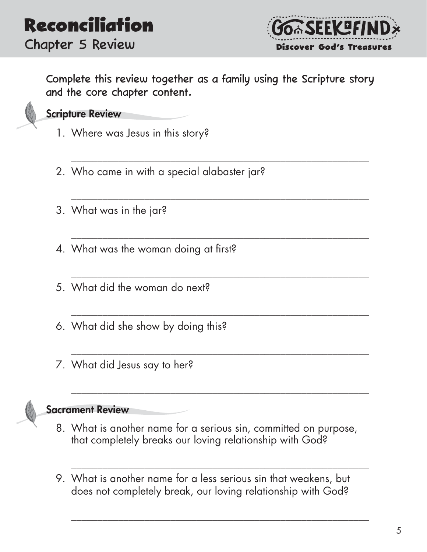

Complete this review together as a family using the Scripture story and the core chapter content.

\_\_\_\_\_\_\_\_\_\_\_\_\_\_\_\_\_\_\_\_\_\_\_\_\_\_\_\_\_\_\_\_\_\_\_\_\_\_\_\_\_\_\_\_\_\_\_\_\_\_\_\_\_\_\_\_\_

\_\_\_\_\_\_\_\_\_\_\_\_\_\_\_\_\_\_\_\_\_\_\_\_\_\_\_\_\_\_\_\_\_\_\_\_\_\_\_\_\_\_\_\_\_\_\_\_\_\_\_\_\_\_\_\_\_

\_\_\_\_\_\_\_\_\_\_\_\_\_\_\_\_\_\_\_\_\_\_\_\_\_\_\_\_\_\_\_\_\_\_\_\_\_\_\_\_\_\_\_\_\_\_\_\_\_\_\_\_\_\_\_\_\_

\_\_\_\_\_\_\_\_\_\_\_\_\_\_\_\_\_\_\_\_\_\_\_\_\_\_\_\_\_\_\_\_\_\_\_\_\_\_\_\_\_\_\_\_\_\_\_\_\_\_\_\_\_\_\_\_\_

\_\_\_\_\_\_\_\_\_\_\_\_\_\_\_\_\_\_\_\_\_\_\_\_\_\_\_\_\_\_\_\_\_\_\_\_\_\_\_\_\_\_\_\_\_\_\_\_\_\_\_\_\_\_\_\_\_

\_\_\_\_\_\_\_\_\_\_\_\_\_\_\_\_\_\_\_\_\_\_\_\_\_\_\_\_\_\_\_\_\_\_\_\_\_\_\_\_\_\_\_\_\_\_\_\_\_\_\_\_\_\_\_\_\_

\_\_\_\_\_\_\_\_\_\_\_\_\_\_\_\_\_\_\_\_\_\_\_\_\_\_\_\_\_\_\_\_\_\_\_\_\_\_\_\_\_\_\_\_\_\_\_\_\_\_\_\_\_\_\_\_\_

\_\_\_\_\_\_\_\_\_\_\_\_\_\_\_\_\_\_\_\_\_\_\_\_\_\_\_\_\_\_\_\_\_\_\_\_\_\_\_\_\_\_\_\_\_\_\_\_\_\_\_\_\_\_\_\_\_

\_\_\_\_\_\_\_\_\_\_\_\_\_\_\_\_\_\_\_\_\_\_\_\_\_\_\_\_\_\_\_\_\_\_\_\_\_\_\_\_\_\_\_\_\_\_\_\_\_\_\_\_\_\_\_\_\_



#### Scripture Review

- 1. Where was Jesus in this story?
- 2. Who came in with a special alabaster jar?
- 3. What was in the jar?
- 4. What was the woman doing at first?
- 5. What did the woman do next?
- 6. What did she show by doing this?
- 7. What did Jesus say to her?



- 8. What is another name for a serious sin, committed on purpose, that completely breaks our loving relationship with God?
- 9. What is another name for a less serious sin that weakens, but does not completely break, our loving relationship with God?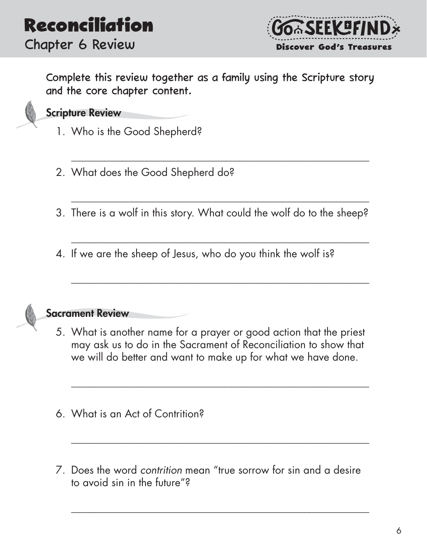

Complete this review together as a family using the Scripture story and the core chapter content.



#### Scripture Review

- 1. Who is the Good Shepherd?
- 2. What does the Good Shepherd do?
- 3. There is a wolf in this story. What could the wolf do to the sheep?

\_\_\_\_\_\_\_\_\_\_\_\_\_\_\_\_\_\_\_\_\_\_\_\_\_\_\_\_\_\_\_\_\_\_\_\_\_\_\_\_\_\_\_\_\_\_\_\_\_\_\_\_\_\_\_\_\_

\_\_\_\_\_\_\_\_\_\_\_\_\_\_\_\_\_\_\_\_\_\_\_\_\_\_\_\_\_\_\_\_\_\_\_\_\_\_\_\_\_\_\_\_\_\_\_\_\_\_\_\_\_\_\_\_\_

\_\_\_\_\_\_\_\_\_\_\_\_\_\_\_\_\_\_\_\_\_\_\_\_\_\_\_\_\_\_\_\_\_\_\_\_\_\_\_\_\_\_\_\_\_\_\_\_\_\_\_\_\_\_\_\_\_

\_\_\_\_\_\_\_\_\_\_\_\_\_\_\_\_\_\_\_\_\_\_\_\_\_\_\_\_\_\_\_\_\_\_\_\_\_\_\_\_\_\_\_\_\_\_\_\_\_\_\_\_\_\_\_\_\_

4. If we are the sheep of Jesus, who do you think the wolf is?



#### Sacrament Review

5. What is another name for a prayer or good action that the priest may ask us to do in the Sacrament of Reconciliation to show that we will do better and want to make up for what we have done.

\_\_\_\_\_\_\_\_\_\_\_\_\_\_\_\_\_\_\_\_\_\_\_\_\_\_\_\_\_\_\_\_\_\_\_\_\_\_\_\_\_\_\_\_\_\_\_\_\_\_\_\_\_\_\_\_\_

\_\_\_\_\_\_\_\_\_\_\_\_\_\_\_\_\_\_\_\_\_\_\_\_\_\_\_\_\_\_\_\_\_\_\_\_\_\_\_\_\_\_\_\_\_\_\_\_\_\_\_\_\_\_\_\_\_

- 6. What is an Act of Contrition?
- 7. Does the word *contrition* mean "true sorrow for sin and a desire to avoid sin in the future"?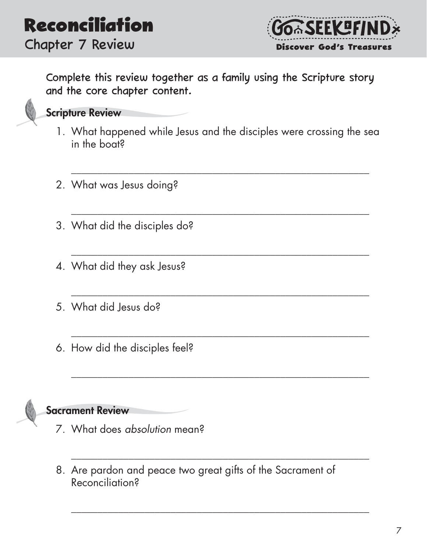

Complete this review together as a family using the Scripture story and the core chapter content.



#### Scripture Review

1. What happened while Jesus and the disciples were crossing the sea in the boat?

\_\_\_\_\_\_\_\_\_\_\_\_\_\_\_\_\_\_\_\_\_\_\_\_\_\_\_\_\_\_\_\_\_\_\_\_\_\_\_\_\_\_\_\_\_\_\_\_\_\_\_\_\_\_\_\_\_

\_\_\_\_\_\_\_\_\_\_\_\_\_\_\_\_\_\_\_\_\_\_\_\_\_\_\_\_\_\_\_\_\_\_\_\_\_\_\_\_\_\_\_\_\_\_\_\_\_\_\_\_\_\_\_\_\_

\_\_\_\_\_\_\_\_\_\_\_\_\_\_\_\_\_\_\_\_\_\_\_\_\_\_\_\_\_\_\_\_\_\_\_\_\_\_\_\_\_\_\_\_\_\_\_\_\_\_\_\_\_\_\_\_\_

\_\_\_\_\_\_\_\_\_\_\_\_\_\_\_\_\_\_\_\_\_\_\_\_\_\_\_\_\_\_\_\_\_\_\_\_\_\_\_\_\_\_\_\_\_\_\_\_\_\_\_\_\_\_\_\_\_

\_\_\_\_\_\_\_\_\_\_\_\_\_\_\_\_\_\_\_\_\_\_\_\_\_\_\_\_\_\_\_\_\_\_\_\_\_\_\_\_\_\_\_\_\_\_\_\_\_\_\_\_\_\_\_\_\_

\_\_\_\_\_\_\_\_\_\_\_\_\_\_\_\_\_\_\_\_\_\_\_\_\_\_\_\_\_\_\_\_\_\_\_\_\_\_\_\_\_\_\_\_\_\_\_\_\_\_\_\_\_\_\_\_\_

\_\_\_\_\_\_\_\_\_\_\_\_\_\_\_\_\_\_\_\_\_\_\_\_\_\_\_\_\_\_\_\_\_\_\_\_\_\_\_\_\_\_\_\_\_\_\_\_\_\_\_\_\_\_\_\_\_

\_\_\_\_\_\_\_\_\_\_\_\_\_\_\_\_\_\_\_\_\_\_\_\_\_\_\_\_\_\_\_\_\_\_\_\_\_\_\_\_\_\_\_\_\_\_\_\_\_\_\_\_\_\_\_\_\_

- 2. What was Jesus doing?
- 3. What did the disciples do?
- 4. What did they ask Jesus?
- 5. What did Jesus do?
- 6. How did the disciples feel?



- 7. What does *absolution* mean?
- 8. Are pardon and peace two great gifts of the Sacrament of Reconciliation?